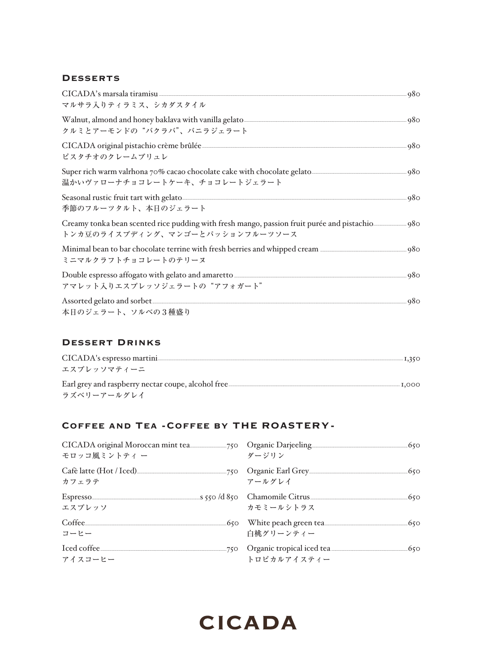### **DESSERTS**

| CICADA's marsala tiramisu 280<br>マルサラ入りティラミス、シカダスタイル                                                                                                                                                                                                                    |  |
|-------------------------------------------------------------------------------------------------------------------------------------------------------------------------------------------------------------------------------------------------------------------------|--|
| クルミとアーモンドの"バクラバ"、バニラジェラート                                                                                                                                                                                                                                               |  |
| ピスタチオのクレームブリュレ                                                                                                                                                                                                                                                          |  |
| 温かいヴァローナチョコレートケーキ、チョコレートジェラート                                                                                                                                                                                                                                           |  |
| Seasonal rustic fruit tart with gelato<br>季節のフルーツタルト、本日のジェラート                                                                                                                                                                                                           |  |
| トンカ豆のライスプディング、マンゴーとパッションフルーツソース                                                                                                                                                                                                                                         |  |
| Minimal bean to bar chocolate terrine with fresh berries and whipped cream <i>manufallum manufallum</i> 980<br>ミニマルクラフトチョコレートのテリーヌ                                                                                                                                      |  |
| Double espresso affogato with gelato and amaretto <b>Construction</b> and an approximately a series of the spresso affogato with gelato and amaretto <b>Construction</b> and a spression of the spress of the spression of the spression<br>アマレット入りエスプレッソジェラートの"アフォガート" |  |
| 本日のジェラート、ソルベの3種盛り                                                                                                                                                                                                                                                       |  |

### **DESSERT DRINKS**

| エスプレッソマティーニ |
|-------------|
| ラズベリーアールグレイ |

### COFFEE AND TEA - COFFEE BY THE ROASTERY-

| モロッコ風ミントティ ー                                                                                   | ダージリン                              |  |
|------------------------------------------------------------------------------------------------|------------------------------------|--|
| カフェラテ                                                                                          | アールグレイ                             |  |
| Espresso <u>(50</u> S50 / 1850 Chamomile Citrus (50 Sepresso S50 S50 September 2013)<br>エスプレッソ | カモミールシトラス                          |  |
| コーヒー                                                                                           | White peach green tea<br>白桃グリーンティー |  |
| アイスコーヒー                                                                                        | トロピカルアイスティー                        |  |

# **CICADA**